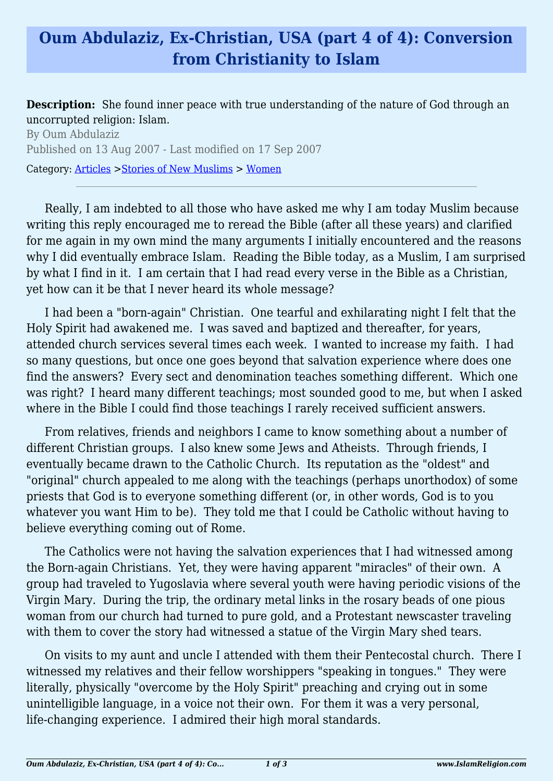## **Oum Abdulaziz, Ex-Christian, USA (part 4 of 4): Conversion from Christianity to Islam**

**Description:** She found inner peace with true understanding of the nature of God through an uncorrupted religion: Islam.

By Oum Abdulaziz Published on 13 Aug 2007 - Last modified on 17 Sep 2007 Category: [Articles](http://www.islamreligion.com/articles/) >[Stories of New Muslims](http://www.islamreligion.com/category/63/) > [Women](http://www.islamreligion.com/category/65/)

Really, I am indebted to all those who have asked me why I am today Muslim because writing this reply encouraged me to reread the Bible (after all these years) and clarified for me again in my own mind the many arguments I initially encountered and the reasons why I did eventually embrace Islam. Reading the Bible today, as a Muslim, I am surprised by what I find in it. I am certain that I had read every verse in the Bible as a Christian, yet how can it be that I never heard its whole message?

I had been a "born-again" Christian. One tearful and exhilarating night I felt that the Holy Spirit had awakened me. I was saved and baptized and thereafter, for years, attended church services several times each week. I wanted to increase my faith. I had so many questions, but once one goes beyond that salvation experience where does one find the answers? Every sect and denomination teaches something different. Which one was right? I heard many different teachings; most sounded good to me, but when I asked where in the Bible I could find those teachings I rarely received sufficient answers.

From relatives, friends and neighbors I came to know something about a number of different Christian groups. I also knew some Jews and Atheists. Through friends, I eventually became drawn to the Catholic Church. Its reputation as the "oldest" and "original" church appealed to me along with the teachings (perhaps unorthodox) of some priests that God is to everyone something different (or, in other words, God is to you whatever you want Him to be). They told me that I could be Catholic without having to believe everything coming out of Rome.

The Catholics were not having the salvation experiences that I had witnessed among the Born-again Christians. Yet, they were having apparent "miracles" of their own. A group had traveled to Yugoslavia where several youth were having periodic visions of the Virgin Mary. During the trip, the ordinary metal links in the rosary beads of one pious woman from our church had turned to pure gold, and a Protestant newscaster traveling with them to cover the story had witnessed a statue of the Virgin Mary shed tears.

On visits to my aunt and uncle I attended with them their Pentecostal church. There I witnessed my relatives and their fellow worshippers "speaking in tongues." They were literally, physically "overcome by the Holy Spirit" preaching and crying out in some unintelligible language, in a voice not their own. For them it was a very personal, life-changing experience. I admired their high moral standards.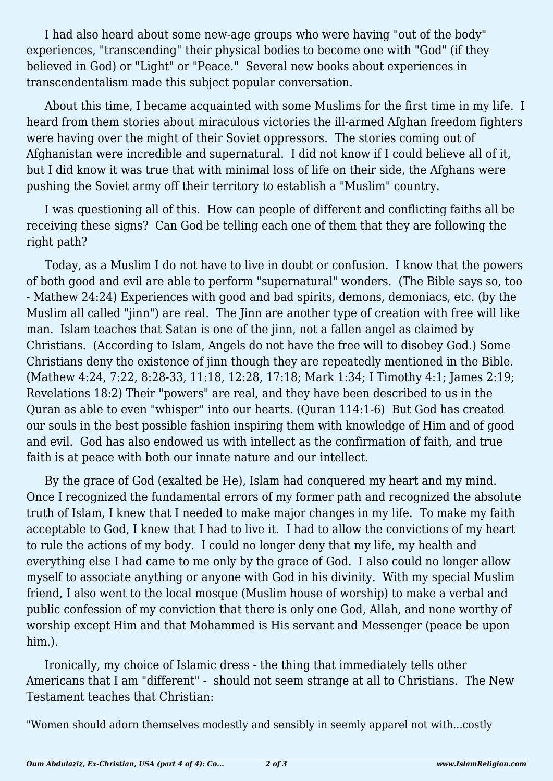I had also heard about some new-age groups who were having "out of the body" experiences, "transcending" their physical bodies to become one with "God" (if they believed in God) or "Light" or "Peace." Several new books about experiences in transcendentalism made this subject popular conversation.

About this time, I became acquainted with some Muslims for the first time in my life. I heard from them stories about miraculous victories the ill-armed Afghan freedom fighters were having over the might of their Soviet oppressors. The stories coming out of Afghanistan were incredible and supernatural. I did not know if I could believe all of it, but I did know it was true that with minimal loss of life on their side, the Afghans were pushing the Soviet army off their territory to establish a "Muslim" country.

I was questioning all of this. How can people of different and conflicting faiths all be receiving these signs? Can God be telling each one of them that they are following the right path?

Today, as a Muslim I do not have to live in doubt or confusion. I know that the powers of both good and evil are able to perform "supernatural" wonders. (The Bible says so, too - Mathew 24:24) Experiences with good and bad spirits, demons, demoniacs, etc. (by the Muslim all called "jinn") are real. The Jinn are another type of creation with free will like man. Islam teaches that Satan is one of the jinn, not a fallen angel as claimed by Christians. (According to Islam, Angels do not have the free will to disobey God.) Some Christians deny the existence of jinn though they are repeatedly mentioned in the Bible. (Mathew 4:24, 7:22, 8:28-33, 11:18, 12:28, 17:18; Mark 1:34; I Timothy 4:1; James 2:19; Revelations 18:2) Their "powers" are real, and they have been described to us in the Quran as able to even "whisper" into our hearts. (Quran 114:1-6) But God has created our souls in the best possible fashion inspiring them with knowledge of Him and of good and evil. God has also endowed us with intellect as the confirmation of faith, and true faith is at peace with both our innate nature and our intellect.

By the grace of God (exalted be He), Islam had conquered my heart and my mind. Once I recognized the fundamental errors of my former path and recognized the absolute truth of Islam, I knew that I needed to make major changes in my life. To make my faith acceptable to God, I knew that I had to live it. I had to allow the convictions of my heart to rule the actions of my body. I could no longer deny that my life, my health and everything else I had came to me only by the grace of God. I also could no longer allow myself to associate anything or anyone with God in his divinity. With my special Muslim friend, I also went to the local mosque (Muslim house of worship) to make a verbal and public confession of my conviction that there is only one God, Allah, and none worthy of worship except Him and that Mohammed is His servant and Messenger (peace be upon him.).

Ironically, my choice of Islamic dress - the thing that immediately tells other Americans that I am "different" - should not seem strange at all to Christians. The New Testament teaches that Christian:

"Women should adorn themselves modestly and sensibly in seemly apparel not with...costly